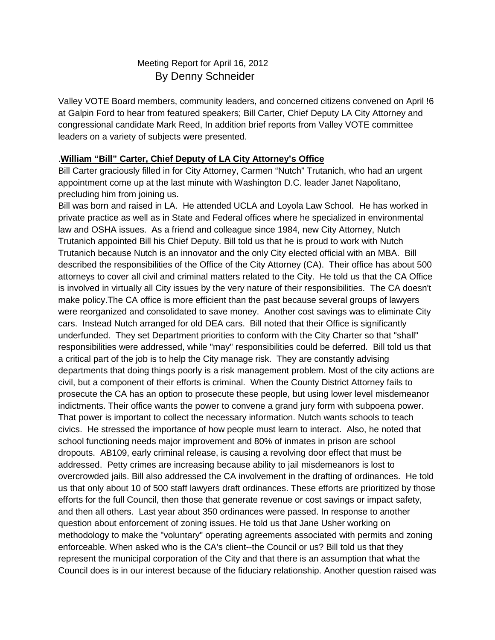# Meeting Report for April 16, 2012 By Denny Schneider

Valley VOTE Board members, community leaders, and concerned citizens convened on April !6 at Galpin Ford to hear from featured speakers; Bill Carter, Chief Deputy LA City Attorney and congressional candidate Mark Reed, In addition brief reports from Valley VOTE committee leaders on a variety of subjects were presented.

#### .**William "Bill" Carter, Chief Deputy of LA City Attorney's Office**

Bill Carter graciously filled in for City Attorney, Carmen "Nutch" Trutanich, who had an urgent appointment come up at the last minute with Washington D.C. leader Janet Napolitano, precluding him from joining us.

Bill was born and raised in LA. He attended UCLA and Loyola Law School. He has worked in private practice as well as in State and Federal offices where he specialized in environmental law and OSHA issues. As a friend and colleague since 1984, new City Attorney, Nutch Trutanich appointed Bill his Chief Deputy. Bill told us that he is proud to work with Nutch Trutanich because Nutch is an innovator and the only City elected official with an MBA. Bill described the responsibilities of the Office of the City Attorney (CA). Their office has about 500 attorneys to cover all civil and criminal matters related to the City. He told us that the CA Office is involved in virtually all City issues by the very nature of their responsibilities. The CA doesn't make policy.The CA office is more efficient than the past because several groups of lawyers were reorganized and consolidated to save money. Another cost savings was to eliminate City cars. Instead Nutch arranged for old DEA cars. Bill noted that their Office is significantly underfunded. They set Department priorities to conform with the City Charter so that "shall" responsibilities were addressed, while "may" responsibilities could be deferred. Bill told us that a critical part of the job is to help the City manage risk. They are constantly advising departments that doing things poorly is a risk management problem. Most of the city actions are civil, but a component of their efforts is criminal. When the County District Attorney fails to prosecute the CA has an option to prosecute these people, but using lower level misdemeanor indictments. Their office wants the power to convene a grand jury form with subpoena power. That power is important to collect the necessary information. Nutch wants schools to teach civics. He stressed the importance of how people must learn to interact. Also, he noted that school functioning needs major improvement and 80% of inmates in prison are school dropouts. AB109, early criminal release, is causing a revolving door effect that must be addressed. Petty crimes are increasing because ability to jail misdemeanors is lost to overcrowded jails. Bill also addressed the CA involvement in the drafting of ordinances. He told us that only about 10 of 500 staff lawyers draft ordinances. These efforts are prioritized by those efforts for the full Council, then those that generate revenue or cost savings or impact safety, and then all others. Last year about 350 ordinances were passed. In response to another question about enforcement of zoning issues. He told us that Jane Usher working on methodology to make the "voluntary" operating agreements associated with permits and zoning enforceable. When asked who is the CA's client--the Council or us? Bill told us that they represent the municipal corporation of the City and that there is an assumption that what the Council does is in our interest because of the fiduciary relationship. Another question raised was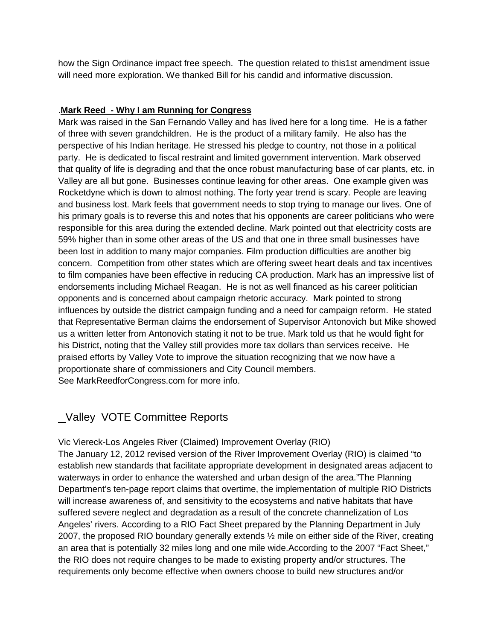how the Sign Ordinance impact free speech. The question related to this1st amendment issue will need more exploration. We thanked Bill for his candid and informative discussion.

# .**Mark Reed - Why I am Running for Congress**

Mark was raised in the San Fernando Valley and has lived here for a long time. He is a father of three with seven grandchildren. He is the product of a military family. He also has the perspective of his Indian heritage. He stressed his pledge to country, not those in a political party. He is dedicated to fiscal restraint and limited government intervention. Mark observed that quality of life is degrading and that the once robust manufacturing base of car plants, etc. in Valley are all but gone. Businesses continue leaving for other areas. One example given was Rocketdyne which is down to almost nothing. The forty year trend is scary. People are leaving and business lost. Mark feels that government needs to stop trying to manage our lives. One of his primary goals is to reverse this and notes that his opponents are career politicians who were responsible for this area during the extended decline. Mark pointed out that electricity costs are 59% higher than in some other areas of the US and that one in three small businesses have been lost in addition to many major companies. Film production difficulties are another big concern. Competition from other states which are offering sweet heart deals and tax incentives to film companies have been effective in reducing CA production. Mark has an impressive list of endorsements including Michael Reagan. He is not as well financed as his career politician opponents and is concerned about campaign rhetoric accuracy. Mark pointed to strong influences by outside the district campaign funding and a need for campaign reform. He stated that Representative Berman claims the endorsement of Supervisor Antonovich but Mike showed us a written letter from Antonovich stating it not to be true. Mark told us that he would fight for his District, noting that the Valley still provides more tax dollars than services receive. He praised efforts by Valley Vote to improve the situation recognizing that we now have a proportionate share of commissioners and City Council members. See MarkReedforCongress.com for more info.

# Valley VOTE Committee Reports

# Vic Viereck-Los Angeles River (Claimed) Improvement Overlay (RIO)

The January 12, 2012 revised version of the River Improvement Overlay (RIO) is claimed "to establish new standards that facilitate appropriate development in designated areas adjacent to waterways in order to enhance the watershed and urban design of the area."The Planning Department's ten-page report claims that overtime, the implementation of multiple RIO Districts will increase awareness of, and sensitivity to the ecosystems and native habitats that have suffered severe neglect and degradation as a result of the concrete channelization of Los Angeles' rivers. According to a RIO Fact Sheet prepared by the Planning Department in July 2007, the proposed RIO boundary generally extends ½ mile on either side of the River, creating an area that is potentially 32 miles long and one mile wide.According to the 2007 "Fact Sheet," the RIO does not require changes to be made to existing property and/or structures. The requirements only become effective when owners choose to build new structures and/or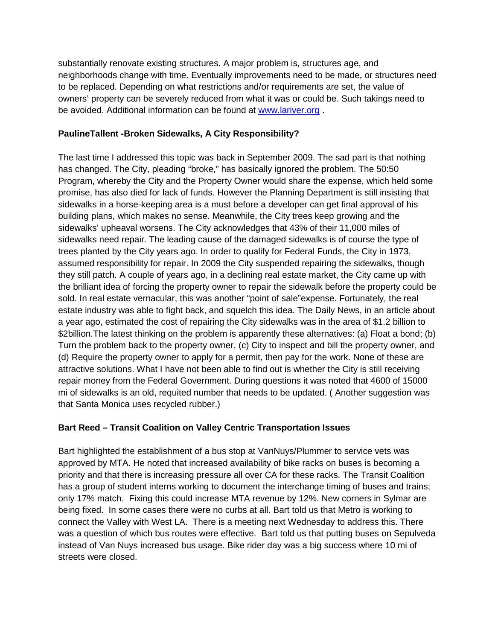substantially renovate existing structures. A major problem is, structures age, and neighborhoods change with time. Eventually improvements need to be made, or structures need to be replaced. Depending on what restrictions and/or requirements are set, the value of owners' property can be severely reduced from what it was or could be. Such takings need to be avoided. Additional information can be found at [www.lariver.org](http://www.lariver.org/) .

#### **PaulineTallent -Broken Sidewalks, A City Responsibility?**

The last time I addressed this topic was back in September 2009. The sad part is that nothing has changed. The City, pleading "broke," has basically ignored the problem. The 50:50 Program, whereby the City and the Property Owner would share the expense, which held some promise, has also died for lack of funds. However the Planning Department is still insisting that sidewalks in a horse-keeping area is a must before a developer can get final approval of his building plans, which makes no sense. Meanwhile, the City trees keep growing and the sidewalks' upheaval worsens. The City acknowledges that 43% of their 11,000 miles of sidewalks need repair. The leading cause of the damaged sidewalks is of course the type of trees planted by the City years ago. In order to qualify for Federal Funds, the City in 1973, assumed responsibility for repair. In 2009 the City suspended repairing the sidewalks, though they still patch. A couple of years ago, in a declining real estate market, the City came up with the brilliant idea of forcing the property owner to repair the sidewalk before the property could be sold. In real estate vernacular, this was another "point of sale"expense. Fortunately, the real estate industry was able to fight back, and squelch this idea. The Daily News, in an article about a year ago, estimated the cost of repairing the City sidewalks was in the area of \$1.2 billion to \$2billion. The latest thinking on the problem is apparently these alternatives: (a) Float a bond; (b) Turn the problem back to the property owner, (c) City to inspect and bill the property owner, and (d) Require the property owner to apply for a permit, then pay for the work. None of these are attractive solutions. What I have not been able to find out is whether the City is still receiving repair money from the Federal Government. During questions it was noted that 4600 of 15000 mi of sidewalks is an old, requited number that needs to be updated. ( Another suggestion was that Santa Monica uses recycled rubber.)

#### **Bart Reed – Transit Coalition on Valley Centric Transportation Issues**

Bart highlighted the establishment of a bus stop at VanNuys/Plummer to service vets was approved by MTA. He noted that increased availability of bike racks on buses is becoming a priority and that there is increasing pressure all over CA for these racks. The Transit Coalition has a group of student interns working to document the interchange timing of buses and trains; only 17% match. Fixing this could increase MTA revenue by 12%. New corners in Sylmar are being fixed. In some cases there were no curbs at all. Bart told us that Metro is working to connect the Valley with West LA. There is a meeting next Wednesday to address this. There was a question of which bus routes were effective. Bart told us that putting buses on Sepulveda instead of Van Nuys increased bus usage. Bike rider day was a big success where 10 mi of streets were closed.